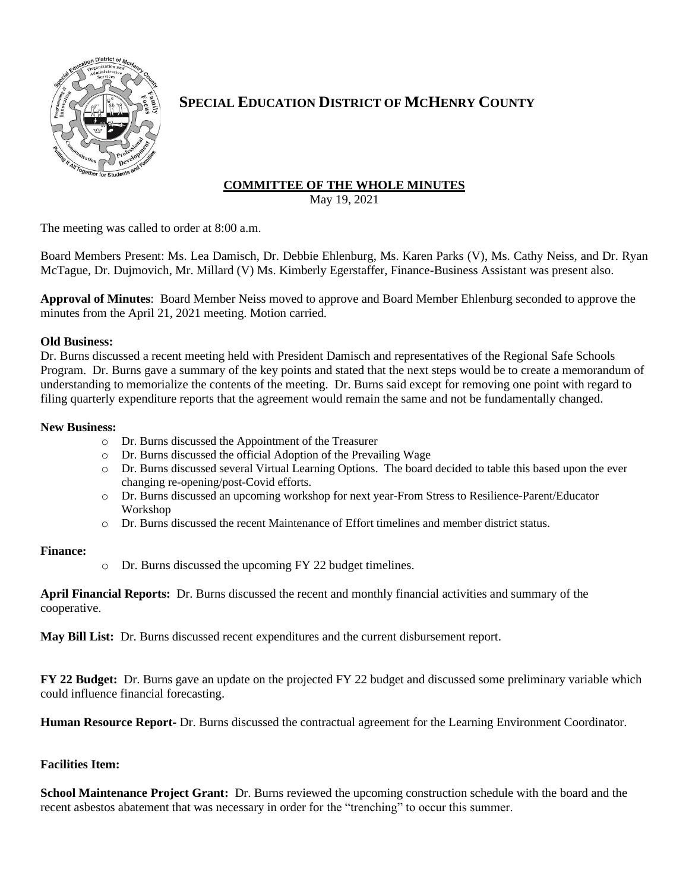

# **SPECIAL EDUCATION DISTRICT OF MCHENRY COUNTY**

## **COMMITTEE OF THE WHOLE MINUTES**

May 19, 2021

The meeting was called to order at 8:00 a.m.

Board Members Present: Ms. Lea Damisch, Dr. Debbie Ehlenburg, Ms. Karen Parks (V), Ms. Cathy Neiss, and Dr. Ryan McTague, Dr. Dujmovich, Mr. Millard (V) Ms. Kimberly Egerstaffer, Finance-Business Assistant was present also.

**Approval of Minutes**: Board Member Neiss moved to approve and Board Member Ehlenburg seconded to approve the minutes from the April 21, 2021 meeting. Motion carried.

#### **Old Business:**

Dr. Burns discussed a recent meeting held with President Damisch and representatives of the Regional Safe Schools Program. Dr. Burns gave a summary of the key points and stated that the next steps would be to create a memorandum of understanding to memorialize the contents of the meeting. Dr. Burns said except for removing one point with regard to filing quarterly expenditure reports that the agreement would remain the same and not be fundamentally changed.

### **New Business:**

- o Dr. Burns discussed the Appointment of the Treasurer
- o Dr. Burns discussed the official Adoption of the Prevailing Wage
- o Dr. Burns discussed several Virtual Learning Options. The board decided to table this based upon the ever changing re-opening/post-Covid efforts.
- o Dr. Burns discussed an upcoming workshop for next year-From Stress to Resilience-Parent/Educator Workshop
- o Dr. Burns discussed the recent Maintenance of Effort timelines and member district status.

### **Finance:**

o Dr. Burns discussed the upcoming FY 22 budget timelines.

**April Financial Reports:** Dr. Burns discussed the recent and monthly financial activities and summary of the cooperative.

**May Bill List:** Dr. Burns discussed recent expenditures and the current disbursement report.

**FY 22 Budget:** Dr. Burns gave an update on the projected FY 22 budget and discussed some preliminary variable which could influence financial forecasting.

**Human Resource Report-** Dr. Burns discussed the contractual agreement for the Learning Environment Coordinator.

### **Facilities Item:**

**School Maintenance Project Grant:** Dr. Burns reviewed the upcoming construction schedule with the board and the recent asbestos abatement that was necessary in order for the "trenching" to occur this summer.